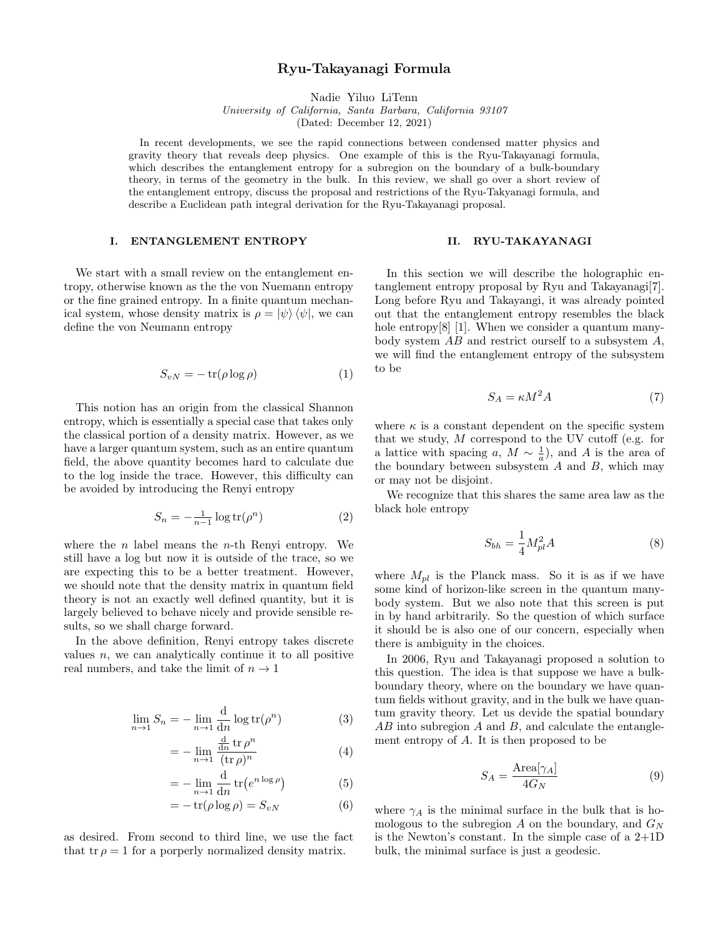# Ryu-Takayanagi Formula

Nadie Yiluo LiTenn

University of California, Santa Barbara, California 93107 (Dated: December 12, 2021)

In recent developments, we see the rapid connections between condensed matter physics and gravity theory that reveals deep physics. One example of this is the Ryu-Takayanagi formula, which describes the entanglement entropy for a subregion on the boundary of a bulk-boundary theory, in terms of the geometry in the bulk. In this review, we shall go over a short review of the entanglement entropy, discuss the proposal and restrictions of the Ryu-Takyanagi formula, and describe a Euclidean path integral derivation for the Ryu-Takayanagi proposal.

# I. ENTANGLEMENT ENTROPY

We start with a small review on the entanglement entropy, otherwise known as the the von Nuemann entropy or the fine grained entropy. In a finite quantum mechanical system, whose density matrix is  $\rho = \ket{\psi} \bra{\psi}$ , we can define the von Neumann entropy

$$
S_{vN} = -\operatorname{tr}(\rho \log \rho) \tag{1}
$$

This notion has an origin from the classical Shannon entropy, which is essentially a special case that takes only the classical portion of a density matrix. However, as we have a larger quantum system, such as an entire quantum field, the above quantity becomes hard to calculate due to the log inside the trace. However, this difficulty can be avoided by introducing the Renyi entropy

$$
S_n = -\frac{1}{n-1} \log \text{tr}(\rho^n) \tag{2}
$$

where the  $n$  label means the  $n$ -th Renyi entropy. We still have a log but now it is outside of the trace, so we are expecting this to be a better treatment. However, we should note that the density matrix in quantum field theory is not an exactly well defined quantity, but it is largely believed to behave nicely and provide sensible results, so we shall charge forward.

In the above definition, Renyi entropy takes discrete values  $n$ , we can analytically continue it to all positive real numbers, and take the limit of  $n \to 1$ 

$$
\lim_{n \to 1} S_n = -\lim_{n \to 1} \frac{d}{dn} \log tr(\rho^n)
$$
\n(3)

$$
= -\lim_{n \to 1} \frac{\frac{d}{dn} \operatorname{tr} \rho^n}{(\operatorname{tr} \rho)^n} \tag{4}
$$

$$
= -\lim_{n \to 1} \frac{\mathrm{d}}{\mathrm{d}n} \operatorname{tr} \left( e^{n \log \rho} \right) \tag{5}
$$

$$
= -\operatorname{tr}(\rho \log \rho) = S_{vN} \tag{6}
$$

as desired. From second to third line, we use the fact that tr  $\rho = 1$  for a porperly normalized density matrix.

## II. RYU-TAKAYANAGI

In this section we will describe the holographic entanglement entropy proposal by Ryu and Takayanagi[7]. Long before Ryu and Takayangi, it was already pointed out that the entanglement entropy resembles the black hole entropy<sup>[8]</sup> [1]. When we consider a quantum manybody system AB and restrict ourself to a subsystem A, we will find the entanglement entropy of the subsystem to be

$$
S_A = \kappa M^2 A \tag{7}
$$

where  $\kappa$  is a constant dependent on the specific system that we study,  $M$  correspond to the UV cutoff (e.g. for a lattice with spacing a,  $M \sim \frac{1}{a}$ , and A is the area of the boundary between subsystem  $A$  and  $B$ , which may or may not be disjoint.

We recognize that this shares the same area law as the black hole entropy

$$
S_{bh} = \frac{1}{4} M_{pl}^2 A \tag{8}
$$

where  $M_{pl}$  is the Planck mass. So it is as if we have some kind of horizon-like screen in the quantum manybody system. But we also note that this screen is put in by hand arbitrarily. So the question of which surface it should be is also one of our concern, especially when there is ambiguity in the choices.

In 2006, Ryu and Takayanagi proposed a solution to this question. The idea is that suppose we have a bulkboundary theory, where on the boundary we have quantum fields without gravity, and in the bulk we have quantum gravity theory. Let us devide the spatial boundary  $AB$  into subregion  $A$  and  $B$ , and calculate the entanglement entropy of A. It is then proposed to be

$$
S_A = \frac{\text{Area}[\gamma_A]}{4G_N} \tag{9}
$$

where  $\gamma_A$  is the minimal surface in the bulk that is homologous to the subregion  $A$  on the boundary, and  $G_N$ is the Newton's constant. In the simple case of a  $2+1D$ bulk, the minimal surface is just a geodesic.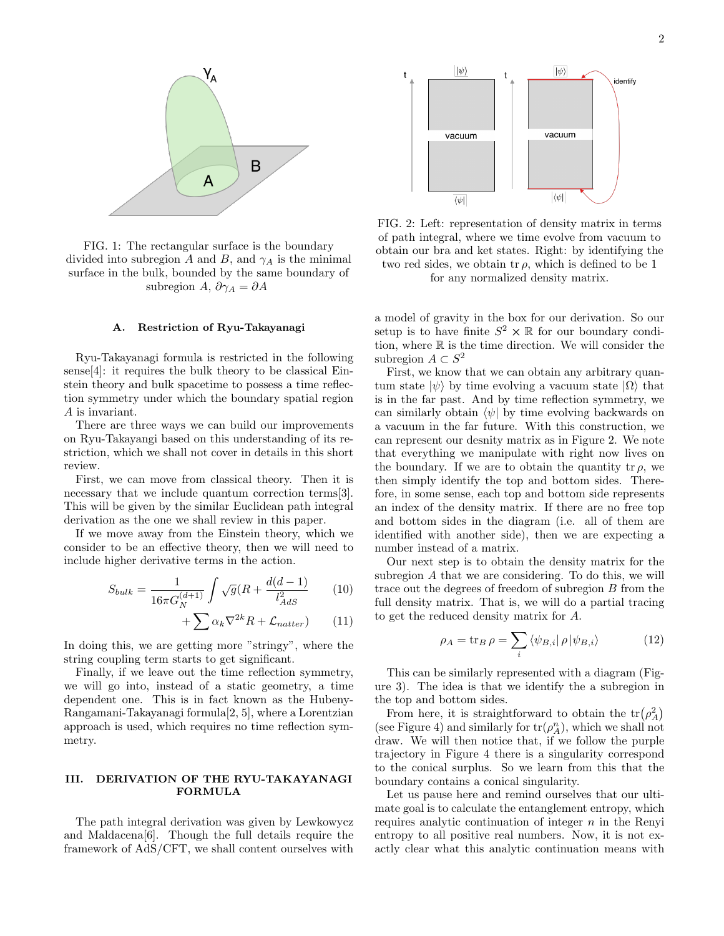

FIG. 1: The rectangular surface is the boundary divided into subregion A and B, and  $\gamma_A$  is the minimal surface in the bulk, bounded by the same boundary of subregion A,  $\partial \gamma_A = \partial A$ 

#### A. Restriction of Ryu-Takayanagi

Ryu-Takayanagi formula is restricted in the following sense[4]: it requires the bulk theory to be classical Einstein theory and bulk spacetime to possess a time reflection symmetry under which the boundary spatial region A is invariant.

There are three ways we can build our improvements on Ryu-Takayangi based on this understanding of its restriction, which we shall not cover in details in this short review.

First, we can move from classical theory. Then it is necessary that we include quantum correction terms [3]. This will be given by the similar Euclidean path integral derivation as the one we shall review in this paper.

If we move away from the Einstein theory, which we consider to be an effective theory, then we will need to include higher derivative terms in the action.

$$
S_{bulk} = \frac{1}{16\pi G_N^{(d+1)}} \int \sqrt{g}(R + \frac{d(d-1)}{l_{AdS}^2}) \tag{10}
$$

$$
+\sum \alpha_k \nabla^{2k} R + \mathcal{L}_{natter}) \qquad (11)
$$

In doing this, we are getting more "stringy", where the string coupling term starts to get significant.

Finally, if we leave out the time reflection symmetry, we will go into, instead of a static geometry, a time dependent one. This is in fact known as the Hubeny-Rangamani-Takayanagi formula[2, 5], where a Lorentzian approach is used, which requires no time reflection symmetry.

## III. DERIVATION OF THE RYU-TAKAYANAGI FORMULA

The path integral derivation was given by Lewkowycz and Maldacena[6]. Though the full details require the framework of AdS/CFT, we shall content ourselves with



FIG. 2: Left: representation of density matrix in terms of path integral, where we time evolve from vacuum to obtain our bra and ket states. Right: by identifying the two red sides, we obtain tr  $\rho$ , which is defined to be 1 for any normalized density matrix.

a model of gravity in the box for our derivation. So our setup is to have finite  $S^2 \times \mathbb{R}$  for our boundary condition, where R is the time direction. We will consider the subregion  $A \subset S^2$ 

First, we know that we can obtain any arbitrary quantum state  $|\psi\rangle$  by time evolving a vacuum state  $|\Omega\rangle$  that is in the far past. And by time reflection symmetry, we can similarly obtain  $\langle \psi |$  by time evolving backwards on a vacuum in the far future. With this construction, we can represent our desnity matrix as in Figure 2. We note that everything we manipulate with right now lives on the boundary. If we are to obtain the quantity tr  $\rho$ , we then simply identify the top and bottom sides. Therefore, in some sense, each top and bottom side represents an index of the density matrix. If there are no free top and bottom sides in the diagram (i.e. all of them are identified with another side), then we are expecting a number instead of a matrix.

Our next step is to obtain the density matrix for the subregion A that we are considering. To do this, we will trace out the degrees of freedom of subregion B from the full density matrix. That is, we will do a partial tracing to get the reduced density matrix for A.

$$
\rho_A = \text{tr}_B \,\rho = \sum_i \langle \psi_{B,i} | \,\rho \, | \psi_{B,i} \rangle \tag{12}
$$

This can be similarly represented with a diagram (Figure 3). The idea is that we identify the a subregion in the top and bottom sides.

From here, it is straightforward to obtain the  $tr(\rho_A^2)$ (see Figure 4) and similarly for  $tr(\rho_A^n)$ , which we shall not draw. We will then notice that, if we follow the purple trajectory in Figure 4 there is a singularity correspond to the conical surplus. So we learn from this that the boundary contains a conical singularity.

Let us pause here and remind ourselves that our ultimate goal is to calculate the entanglement entropy, which requires analytic continuation of integer  $n$  in the Renyi entropy to all positive real numbers. Now, it is not exactly clear what this analytic continuation means with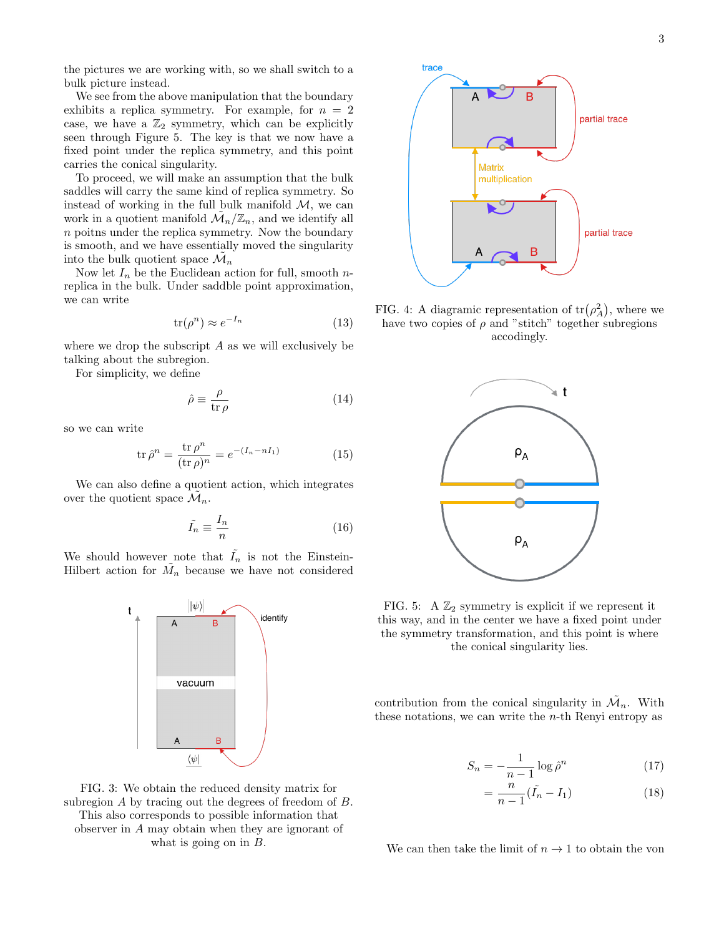the pictures we are working with, so we shall switch to a bulk picture instead.

We see from the above manipulation that the boundary exhibits a replica symmetry. For example, for  $n = 2$ case, we have a  $\mathbb{Z}_2$  symmetry, which can be explicitly seen through Figure 5. The key is that we now have a fixed point under the replica symmetry, and this point carries the conical singularity.

To proceed, we will make an assumption that the bulk saddles will carry the same kind of replica symmetry. So instead of working in the full bulk manifold  $M$ , we can work in a quotient manifold  $\mathcal{M}_n/\mathbb{Z}_n$ , and we identify all  $\boldsymbol{n}$  poitns under the replica symmetry. Now the boundary is smooth, and we have essentially moved the singularity into the bulk quotient space  $\mathcal{\tilde{M}}_n$ 

Now let  $I_n$  be the Euclidean action for full, smooth nreplica in the bulk. Under saddble point approximation, we can write

$$
\text{tr}(\rho^n) \approx e^{-I_n} \tag{13}
$$

where we drop the subscript  $A$  as we will exclusively be talking about the subregion.

For simplicity, we define

$$
\hat{\rho} \equiv \frac{\rho}{\text{tr}\,\rho} \tag{14}
$$

so we can write

$$
\text{tr}\,\hat{\rho}^n = \frac{\text{tr}\,\rho^n}{(\text{tr}\,\rho)^n} = e^{-(I_n - nI_1)}\tag{15}
$$

We can also define a quotient action, which integrates over the quotient space  $\mathcal{\tilde{M}}_n$ .

$$
\tilde{I}_n \equiv \frac{I_n}{n} \tag{16}
$$

We should however note that  $I_n$  is not the Einstein-Hilbert action for  $\tilde{M}_n$  because we have not considered



FIG. 3: We obtain the reduced density matrix for subregion A by tracing out the degrees of freedom of B. This also corresponds to possible information that observer in A may obtain when they are ignorant of what is going on in  $B$ .



FIG. 4: A diagramic representation of  $\text{tr}(\rho_A^2)$ , where we have two copies of  $\rho$  and "stitch" together subregions accodingly.



FIG. 5: A  $\mathbb{Z}_2$  symmetry is explicit if we represent it this way, and in the center we have a fixed point under the symmetry transformation, and this point is where the conical singularity lies.

contribution from the conical singularity in  $\mathcal{\tilde{M}}_n$ . With these notations, we can write the  $n$ -th Renyi entropy as

$$
S_n = -\frac{1}{n-1} \log \hat{\rho}^n \tag{17}
$$

$$
=\frac{n}{n-1}(\tilde{I}_n - I_1) \tag{18}
$$

We can then take the limit of  $n \to 1$  to obtain the von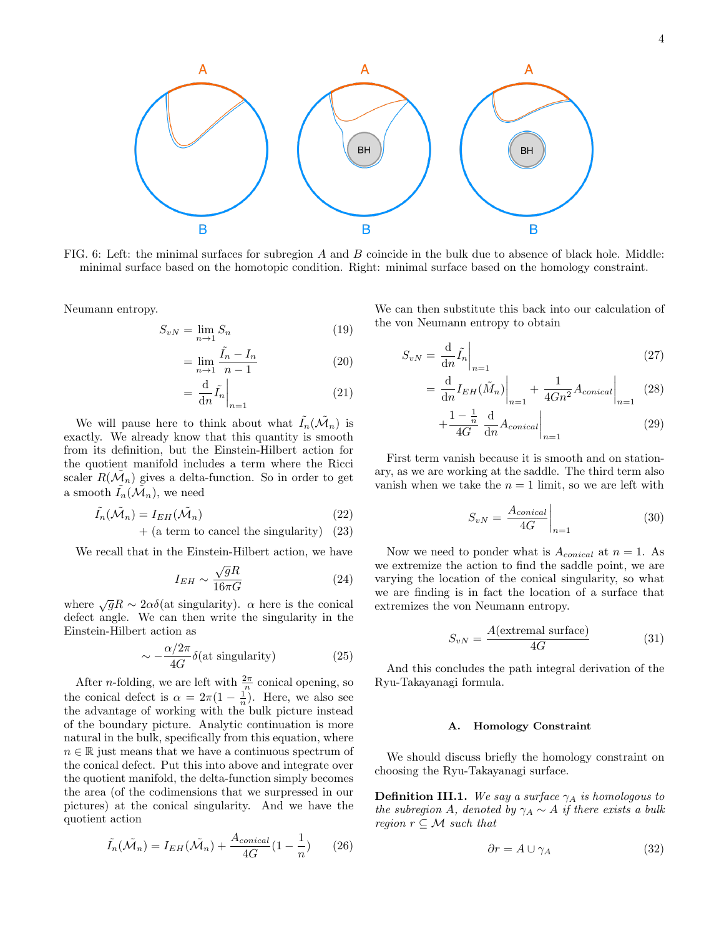

FIG. 6: Left: the minimal surfaces for subregion A and B coincide in the bulk due to absence of black hole. Middle: minimal surface based on the homotopic condition. Right: minimal surface based on the homology constraint.

в

Neumann entropy.

$$
S_{vN} = \lim_{n \to 1} S_n \tag{19}
$$

$$
= \lim_{n \to 1} \frac{\tilde{I}_n - I_n}{n - 1} \tag{20}
$$

$$
= \frac{\mathrm{d}}{\mathrm{d}n} \tilde{I}_n \bigg|_{n=1} \tag{21}
$$

We will pause here to think about what  $\tilde{I}_n(\tilde{\mathcal{M}}_n)$  is exactly. We already know that this quantity is smooth from its definition, but the Einstein-Hilbert action for the quotient manifold includes a term where the Ricci scaler  $R(\tilde{\mathcal{M}}_n)$  gives a delta-function. So in order to get a smooth  $\tilde{I}_n(\tilde{\mathcal{M}}_n)$ , we need

B

$$
\tilde{I_n}(\tilde{\mathcal{M}}_n) = I_{EH}(\tilde{\mathcal{M}}_n) \tag{22}
$$

 $+$  (a term to cancel the singularity) (23)

We recall that in the Einstein-Hilbert action, we have

$$
I_{EH} \sim \frac{\sqrt{g}R}{16\pi G} \tag{24}
$$

where  $\sqrt{g}R \sim 2\alpha\delta(\text{at singularity})$ .  $\alpha$  here is the conical defect angle. We can then write the singularity in the Einstein-Hilbert action as

$$
\sim -\frac{\alpha/2\pi}{4G}\delta(\text{at singularity})\tag{25}
$$

After *n*-folding, we are left with  $\frac{2\pi}{n}$  conical opening, so the conical defect is  $\alpha = 2\pi(1 - \frac{1}{n})$ . Here, we also see the advantage of working with the bulk picture instead of the boundary picture. Analytic continuation is more natural in the bulk, specifically from this equation, where  $n \in \mathbb{R}$  just means that we have a continuous spectrum of the conical defect. Put this into above and integrate over the quotient manifold, the delta-function simply becomes the area (of the codimensions that we surpressed in our pictures) at the conical singularity. And we have the quotient action

$$
\tilde{I}_n(\tilde{\mathcal{M}}_n) = I_{EH}(\tilde{\mathcal{M}}_n) + \frac{A_{conical}}{4G}(1 - \frac{1}{n})
$$
 (26)

We can then substitute this back into our calculation of the von Neumann entropy to obtain

$$
S_{vN} = \frac{\mathrm{d}}{\mathrm{d}n} \tilde{I}_n \bigg|_{n=1} \tag{27}
$$

Β

$$
= \frac{d}{dn} I_{EH}(\tilde{M}_n) \Big|_{n=1} + \frac{1}{4Gn^2} A_{conical} \Big|_{n=1} \quad (28)
$$

$$
+\frac{1-\frac{1}{n}}{4G}\left.\frac{\mathrm{d}}{\mathrm{d}n}A_{conical}\right|_{n=1} \tag{29}
$$

First term vanish because it is smooth and on stationary, as we are working at the saddle. The third term also vanish when we take the  $n = 1$  limit, so we are left with

$$
S_{vN} = \left. \frac{A_{conical}}{4G} \right|_{n=1} \tag{30}
$$

Now we need to ponder what is  $A_{conical}$  at  $n = 1$ . As we extremize the action to find the saddle point, we are varying the location of the conical singularity, so what we are finding is in fact the location of a surface that extremizes the von Neumann entropy.

$$
S_{vN} = \frac{A(\text{extremal surface})}{4G} \tag{31}
$$

And this concludes the path integral derivation of the Ryu-Takayanagi formula.

#### A. Homology Constraint

We should discuss briefly the homology constraint on choosing the Ryu-Takayanagi surface.

**Definition III.1.** We say a surface  $\gamma_A$  is homologous to the subregion A, denoted by  $\gamma_A \sim A$  if there exists a bulk region  $r \subseteq M$  such that

$$
\partial r = A \cup \gamma_A \tag{32}
$$